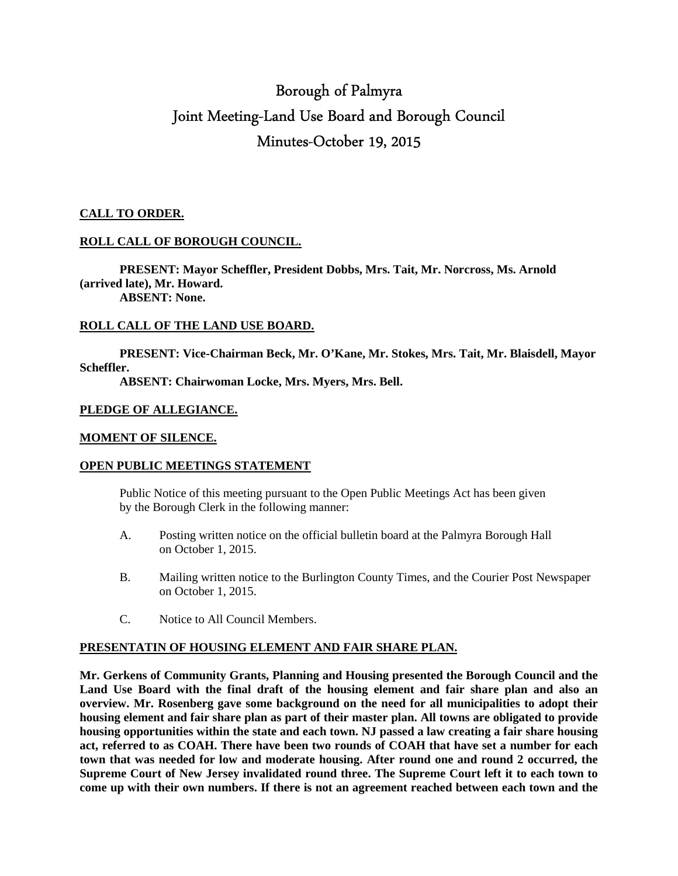# Borough of Palmyra Joint Meeting-Land Use Board and Borough Council Minutes-October 19, 2015

# **CALL TO ORDER.**

#### **ROLL CALL OF BOROUGH COUNCIL.**

 **PRESENT: Mayor Scheffler, President Dobbs, Mrs. Tait, Mr. Norcross, Ms. Arnold (arrived late), Mr. Howard.** 

 **ABSENT: None.** 

#### **ROLL CALL OF THE LAND USE BOARD.**

**PRESENT: Vice-Chairman Beck, Mr. O'Kane, Mr. Stokes, Mrs. Tait, Mr. Blaisdell, Mayor Scheffler.** 

 **ABSENT: Chairwoman Locke, Mrs. Myers, Mrs. Bell.** 

#### **PLEDGE OF ALLEGIANCE.**

#### **MOMENT OF SILENCE.**

# **OPEN PUBLIC MEETINGS STATEMENT**

 Public Notice of this meeting pursuant to the Open Public Meetings Act has been given by the Borough Clerk in the following manner:

- A. Posting written notice on the official bulletin board at the Palmyra Borough Hall on October 1, 2015.
- B. Mailing written notice to the Burlington County Times, and the Courier Post Newspaper on October 1, 2015.
- C. Notice to All Council Members.

# **PRESENTATIN OF HOUSING ELEMENT AND FAIR SHARE PLAN.**

**Mr. Gerkens of Community Grants, Planning and Housing presented the Borough Council and the Land Use Board with the final draft of the housing element and fair share plan and also an overview. Mr. Rosenberg gave some background on the need for all municipalities to adopt their housing element and fair share plan as part of their master plan. All towns are obligated to provide housing opportunities within the state and each town. NJ passed a law creating a fair share housing act, referred to as COAH. There have been two rounds of COAH that have set a number for each town that was needed for low and moderate housing. After round one and round 2 occurred, the Supreme Court of New Jersey invalidated round three. The Supreme Court left it to each town to come up with their own numbers. If there is not an agreement reached between each town and the**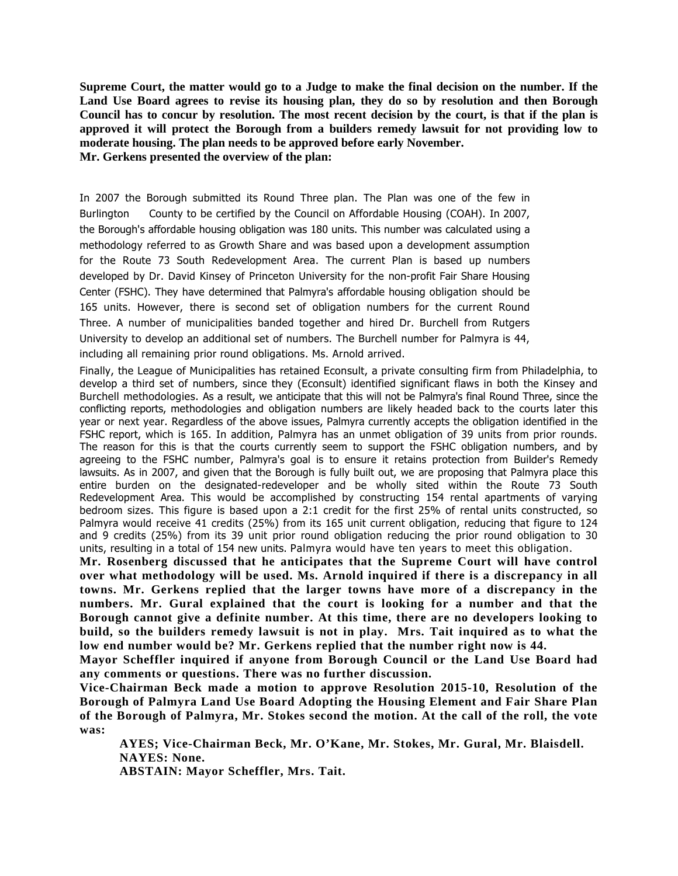**Supreme Court, the matter would go to a Judge to make the final decision on the number. If the Land Use Board agrees to revise its housing plan, they do so by resolution and then Borough Council has to concur by resolution. The most recent decision by the court, is that if the plan is approved it will protect the Borough from a builders remedy lawsuit for not providing low to moderate housing. The plan needs to be approved before early November. Mr. Gerkens presented the overview of the plan:** 

In 2007 the Borough submitted its Round Three plan. The Plan was one of the few in Burlington County to be certified by the Council on Affordable Housing (COAH). In 2007, the Borough's affordable housing obligation was 180 units. This number was calculated using a methodology referred to as Growth Share and was based upon a development assumption for the Route 73 South Redevelopment Area. The current Plan is based up numbers developed by Dr. David Kinsey of Princeton University for the non-profit Fair Share Housing Center (FSHC). They have determined that Palmyra's affordable housing obligation should be 165 units. However, there is second set of obligation numbers for the current Round Three. A number of municipalities banded together and hired Dr. Burchell from Rutgers University to develop an additional set of numbers. The Burchell number for Palmyra is 44, including all remaining prior round obligations. Ms. Arnold arrived.

Finally, the League of Municipalities has retained Econsult, a private consulting firm from Philadelphia, to develop a third set of numbers, since they (Econsult) identified significant flaws in both the Kinsey and Burchell methodologies. As a result, we anticipate that this will not be Palmyra's final Round Three, since the conflicting reports, methodologies and obligation numbers are likely headed back to the courts later this year or next year. Regardless of the above issues, Palmyra currently accepts the obligation identified in the FSHC report, which is 165. In addition, Palmyra has an unmet obligation of 39 units from prior rounds. The reason for this is that the courts currently seem to support the FSHC obligation numbers, and by agreeing to the FSHC number, Palmyra's goal is to ensure it retains protection from Builder's Remedy lawsuits. As in 2007, and given that the Borough is fully built out, we are proposing that Palmyra place this entire burden on the designated-redeveloper and be wholly sited within the Route 73 South Redevelopment Area. This would be accomplished by constructing 154 rental apartments of varying bedroom sizes. This figure is based upon a 2:1 credit for the first 25% of rental units constructed, so Palmyra would receive 41 credits (25%) from its 165 unit current obligation, reducing that figure to 124 and 9 credits (25%) from its 39 unit prior round obligation reducing the prior round obligation to 30 units, resulting in a total of 154 new units. Palmyra would have ten years to meet this obligation.

**Mr. Rosenberg discussed that he anticipates that the Supreme Court will have control over what methodology will be used. Ms. Arnold inquired if there is a discrepancy in all towns. Mr. Gerkens replied that the larger towns have more of a discrepancy in the numbers. Mr. Gural explained that the court is looking for a number and that the Borough cannot give a definite number. At this time, there are no developers looking to build, so the builders remedy lawsuit is not in play. Mrs. Tait inquired as to what the low end number would be? Mr. Gerkens replied that the number right now is 44.** 

**Mayor Scheffler inquired if anyone from Borough Council or the Land Use Board had any comments or questions. There was no further discussion.** 

**Vice-Chairman Beck made a motion to approve Resolution 2015-10, Resolution of the Borough of Palmyra Land Use Board Adopting the Housing Element and Fair Share Plan of the Borough of Palmyra, Mr. Stokes second the motion. At the call of the roll, the vote was:** 

 **AYES; Vice-Chairman Beck, Mr. O'Kane, Mr. Stokes, Mr. Gural, Mr. Blaisdell. NAYES: None.** 

 **ABSTAIN: Mayor Scheffler, Mrs. Tait.**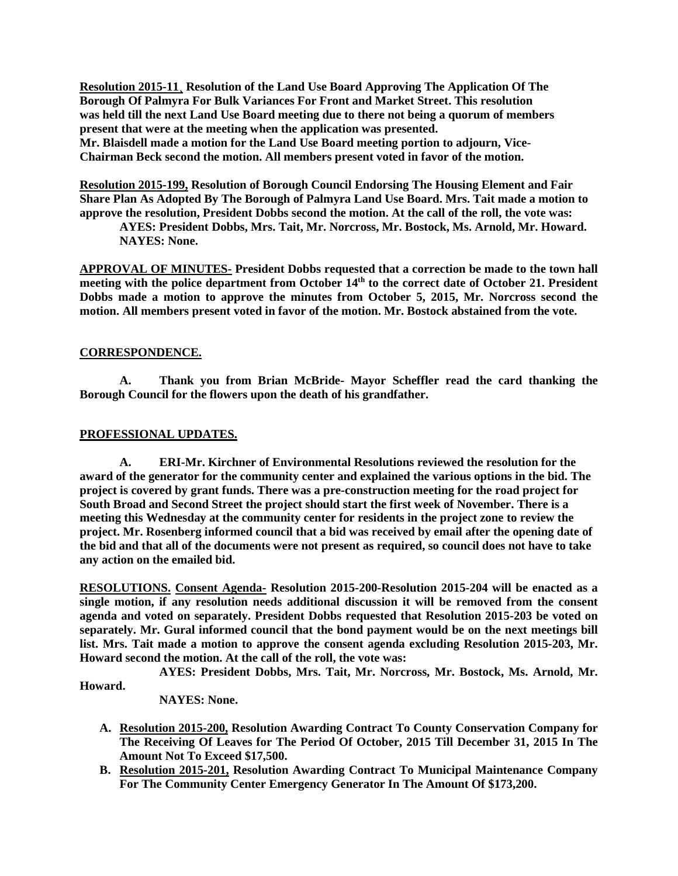**Resolution 2015-11¸ Resolution of the Land Use Board Approving The Application Of The Borough Of Palmyra For Bulk Variances For Front and Market Street. This resolution was held till the next Land Use Board meeting due to there not being a quorum of members present that were at the meeting when the application was presented. Mr. Blaisdell made a motion for the Land Use Board meeting portion to adjourn, Vice-Chairman Beck second the motion. All members present voted in favor of the motion.** 

**Resolution 2015-199, Resolution of Borough Council Endorsing The Housing Element and Fair Share Plan As Adopted By The Borough of Palmyra Land Use Board. Mrs. Tait made a motion to approve the resolution, President Dobbs second the motion. At the call of the roll, the vote was:** 

 **AYES: President Dobbs, Mrs. Tait, Mr. Norcross, Mr. Bostock, Ms. Arnold, Mr. Howard. NAYES: None.** 

**APPROVAL OF MINUTES- President Dobbs requested that a correction be made to the town hall meeting with the police department from October 14th to the correct date of October 21. President Dobbs made a motion to approve the minutes from October 5, 2015, Mr. Norcross second the motion. All members present voted in favor of the motion. Mr. Bostock abstained from the vote.** 

# **CORRESPONDENCE.**

 **A. Thank you from Brian McBride- Mayor Scheffler read the card thanking the Borough Council for the flowers upon the death of his grandfather.** 

# **PROFESSIONAL UPDATES.**

**A. ERI-Mr. Kirchner of Environmental Resolutions reviewed the resolution for the award of the generator for the community center and explained the various options in the bid. The project is covered by grant funds. There was a pre-construction meeting for the road project for South Broad and Second Street the project should start the first week of November. There is a meeting this Wednesday at the community center for residents in the project zone to review the project. Mr. Rosenberg informed council that a bid was received by email after the opening date of the bid and that all of the documents were not present as required, so council does not have to take any action on the emailed bid.** 

**RESOLUTIONS. Consent Agenda- Resolution 2015-200-Resolution 2015-204 will be enacted as a single motion, if any resolution needs additional discussion it will be removed from the consent agenda and voted on separately. President Dobbs requested that Resolution 2015-203 be voted on separately. Mr. Gural informed council that the bond payment would be on the next meetings bill list. Mrs. Tait made a motion to approve the consent agenda excluding Resolution 2015-203, Mr. Howard second the motion. At the call of the roll, the vote was:** 

 **AYES: President Dobbs, Mrs. Tait, Mr. Norcross, Mr. Bostock, Ms. Arnold, Mr.** 

**Howard.** 

 **NAYES: None.** 

- **A. Resolution 2015-200, Resolution Awarding Contract To County Conservation Company for The Receiving Of Leaves for The Period Of October, 2015 Till December 31, 2015 In The Amount Not To Exceed \$17,500.**
- **B. Resolution 2015-201, Resolution Awarding Contract To Municipal Maintenance Company For The Community Center Emergency Generator In The Amount Of \$173,200.**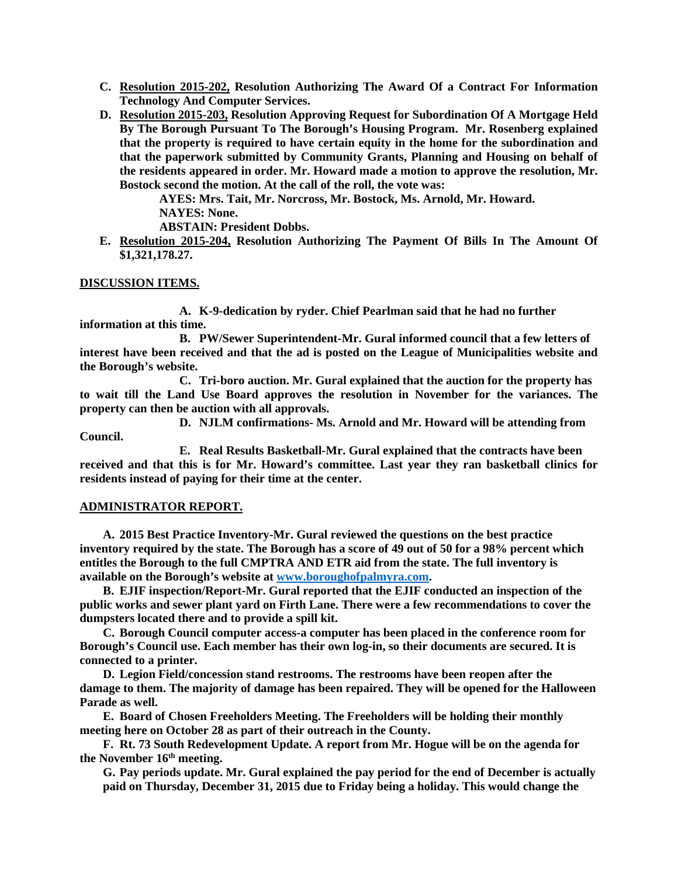- **C. Resolution 2015-202, Resolution Authorizing The Award Of a Contract For Information Technology And Computer Services.**
- **D. Resolution 2015-203, Resolution Approving Request for Subordination Of A Mortgage Held By The Borough Pursuant To The Borough's Housing Program. Mr. Rosenberg explained that the property is required to have certain equity in the home for the subordination and that the paperwork submitted by Community Grants, Planning and Housing on behalf of the residents appeared in order. Mr. Howard made a motion to approve the resolution, Mr. Bostock second the motion. At the call of the roll, the vote was:**

**AYES: Mrs. Tait, Mr. Norcross, Mr. Bostock, Ms. Arnold, Mr. Howard. NAYES: None.** 

**ABSTAIN: President Dobbs.** 

**E. Resolution 2015-204, Resolution Authorizing The Payment Of Bills In The Amount Of \$1,321,178.27.** 

# **DISCUSSION ITEMS.**

**A. K-9-dedication by ryder. Chief Pearlman said that he had no further information at this time.** 

**B. PW/Sewer Superintendent-Mr. Gural informed council that a few letters of interest have been received and that the ad is posted on the League of Municipalities website and the Borough's website.** 

**C. Tri-boro auction. Mr. Gural explained that the auction for the property has to wait till the Land Use Board approves the resolution in November for the variances. The property can then be auction with all approvals.** 

**D. NJLM confirmations- Ms. Arnold and Mr. Howard will be attending from** 

**Council.** 

**E. Real Results Basketball-Mr. Gural explained that the contracts have been received and that this is for Mr. Howard's committee. Last year they ran basketball clinics for residents instead of paying for their time at the center.** 

#### **ADMINISTRATOR REPORT.**

**A. 2015 Best Practice Inventory-Mr. Gural reviewed the questions on the best practice inventory required by the state. The Borough has a score of 49 out of 50 for a 98% percent which entitles the Borough to the full CMPTRA AND ETR aid from the state. The full inventory is available on the Borough's website at www.boroughofpalmyra.com.** 

**B. EJIF inspection/Report-Mr. Gural reported that the EJIF conducted an inspection of the public works and sewer plant yard on Firth Lane. There were a few recommendations to cover the dumpsters located there and to provide a spill kit.** 

**C. Borough Council computer access-a computer has been placed in the conference room for Borough's Council use. Each member has their own log-in, so their documents are secured. It is connected to a printer.** 

**D. Legion Field/concession stand restrooms. The restrooms have been reopen after the damage to them. The majority of damage has been repaired. They will be opened for the Halloween Parade as well.** 

**E. Board of Chosen Freeholders Meeting. The Freeholders will be holding their monthly meeting here on October 28 as part of their outreach in the County.** 

**F. Rt. 73 South Redevelopment Update. A report from Mr. Hogue will be on the agenda for the November 16th meeting.** 

**G. Pay periods update. Mr. Gural explained the pay period for the end of December is actually paid on Thursday, December 31, 2015 due to Friday being a holiday. This would change the**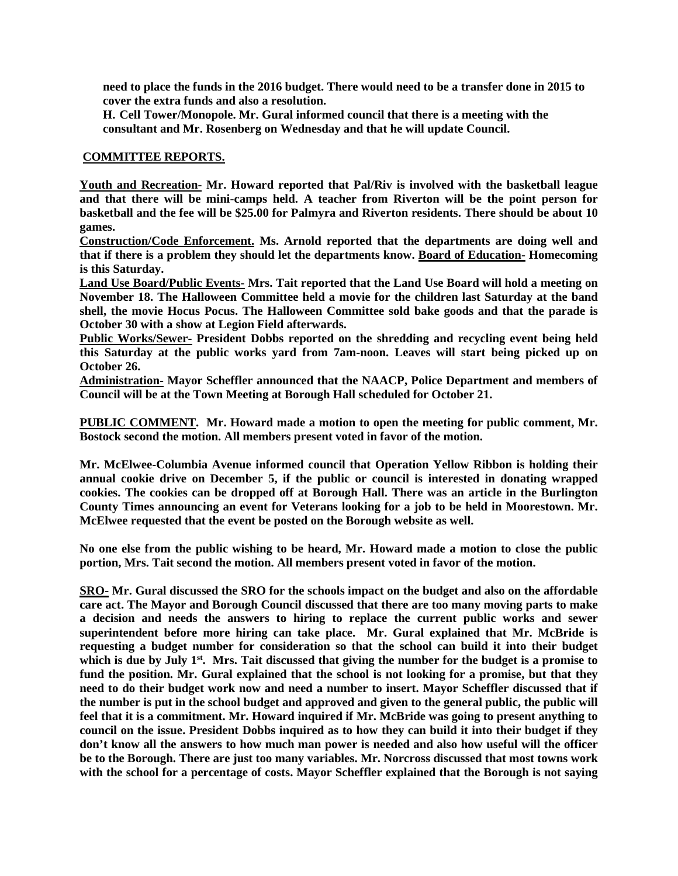**need to place the funds in the 2016 budget. There would need to be a transfer done in 2015 to cover the extra funds and also a resolution.** 

**H. Cell Tower/Monopole. Mr. Gural informed council that there is a meeting with the consultant and Mr. Rosenberg on Wednesday and that he will update Council.** 

#### **COMMITTEE REPORTS.**

**Youth and Recreation- Mr. Howard reported that Pal/Riv is involved with the basketball league and that there will be mini-camps held. A teacher from Riverton will be the point person for basketball and the fee will be \$25.00 for Palmyra and Riverton residents. There should be about 10 games.** 

**Construction/Code Enforcement. Ms. Arnold reported that the departments are doing well and that if there is a problem they should let the departments know. Board of Education- Homecoming is this Saturday.** 

**Land Use Board/Public Events- Mrs. Tait reported that the Land Use Board will hold a meeting on November 18. The Halloween Committee held a movie for the children last Saturday at the band shell, the movie Hocus Pocus. The Halloween Committee sold bake goods and that the parade is October 30 with a show at Legion Field afterwards.** 

**Public Works/Sewer- President Dobbs reported on the shredding and recycling event being held this Saturday at the public works yard from 7am-noon. Leaves will start being picked up on October 26.** 

**Administration- Mayor Scheffler announced that the NAACP, Police Department and members of Council will be at the Town Meeting at Borough Hall scheduled for October 21.** 

**PUBLIC COMMENT. Mr. Howard made a motion to open the meeting for public comment, Mr. Bostock second the motion. All members present voted in favor of the motion.** 

**Mr. McElwee-Columbia Avenue informed council that Operation Yellow Ribbon is holding their annual cookie drive on December 5, if the public or council is interested in donating wrapped cookies. The cookies can be dropped off at Borough Hall. There was an article in the Burlington County Times announcing an event for Veterans looking for a job to be held in Moorestown. Mr. McElwee requested that the event be posted on the Borough website as well.** 

**No one else from the public wishing to be heard, Mr. Howard made a motion to close the public portion, Mrs. Tait second the motion. All members present voted in favor of the motion.** 

**SRO- Mr. Gural discussed the SRO for the schools impact on the budget and also on the affordable care act. The Mayor and Borough Council discussed that there are too many moving parts to make a decision and needs the answers to hiring to replace the current public works and sewer superintendent before more hiring can take place. Mr. Gural explained that Mr. McBride is requesting a budget number for consideration so that the school can build it into their budget which is due by July 1st. Mrs. Tait discussed that giving the number for the budget is a promise to fund the position. Mr. Gural explained that the school is not looking for a promise, but that they need to do their budget work now and need a number to insert. Mayor Scheffler discussed that if the number is put in the school budget and approved and given to the general public, the public will feel that it is a commitment. Mr. Howard inquired if Mr. McBride was going to present anything to council on the issue. President Dobbs inquired as to how they can build it into their budget if they don't know all the answers to how much man power is needed and also how useful will the officer be to the Borough. There are just too many variables. Mr. Norcross discussed that most towns work with the school for a percentage of costs. Mayor Scheffler explained that the Borough is not saying**